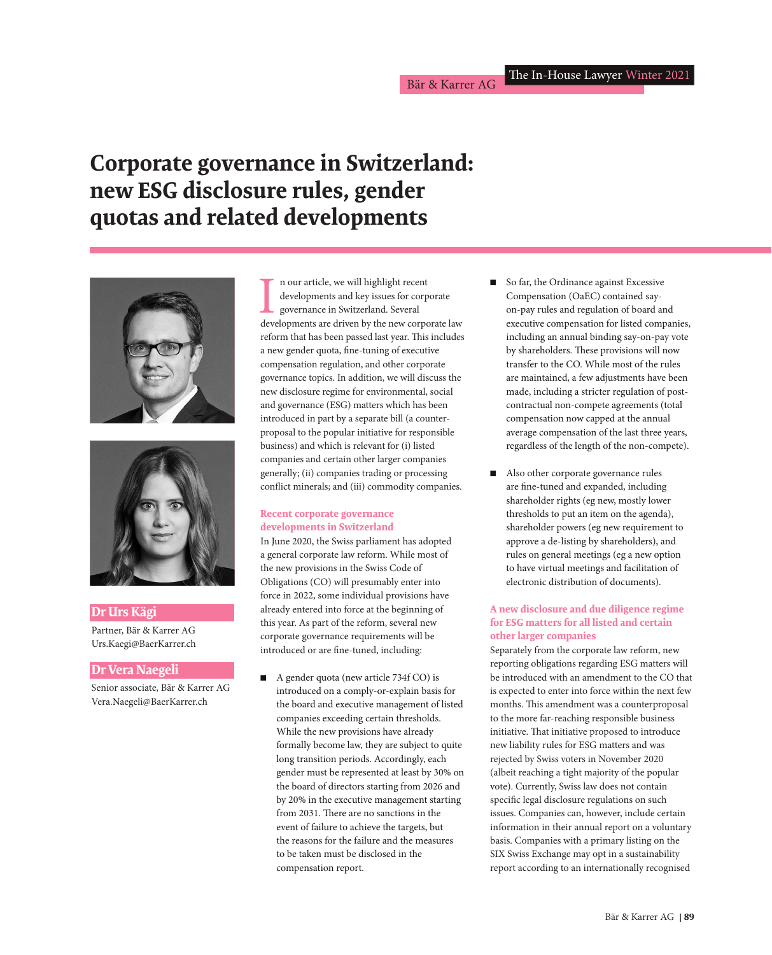# **Corporate governance in Switzerland: new ESG disclosure rules, gender quotas and related developments**





**Dr Urs Kägi**  Partner, Bär & Karrer AG Urs.Kaegi@BaerKarrer.ch

#### **Dr Vera Naegeli**

Senior associate, Bär & Karrer AG Vera.Naegeli@BaerKarrer.ch

In our article, we will highlight recent<br>developments and key issues for corporate<br>governance in Switzerland. Several<br>developments are driven by the new corporate law n our article, we will highlight recent developments and key issues for corporate governance in Switzerland. Several reform that has been passed last year. This includes a new gender quota, fine-tuning of executive compensation regulation, and other corporate governance topics. In addition, we will discuss the new disclosure regime for environmental, social and governance (ESG) matters which has been introduced in part by a separate bill (a counterproposal to the popular initiative for responsible business) and which is relevant for (i) listed companies and certain other larger companies generally; (ii) companies trading or processing conflict minerals; and (iii) commodity companies.

## **Recent corporate governance developments in Switzerland**

In June 2020, the Swiss parliament has adopted a general corporate law reform. While most of the new provisions in the Swiss Code of Obligations (CO) will presumably enter into force in 2022, some individual provisions have already entered into force at the beginning of this year. As part of the reform, several new corporate governance requirements will be introduced or are fine-tuned, including:

 $\blacksquare$  A gender quota (new article 734f CO) is introduced on a comply-or-explain basis for the board and executive management of listed companies exceeding certain thresholds. While the new provisions have already formally become law, they are subject to quite long transition periods. Accordingly, each gender must be represented at least by 30% on the board of directors starting from 2026 and by 20% in the executive management starting from 2031. There are no sanctions in the event of failure to achieve the targets, but the reasons for the failure and the measures to be taken must be disclosed in the compensation report.

- So far, the Ordinance against Excessive Compensation (OaEC) contained sayon-pay rules and regulation of board and executive compensation for listed companies, including an annual binding say-on-pay vote by shareholders. These provisions will now transfer to the CO. While most of the rules are maintained, a few adjustments have been made, including a stricter regulation of postcontractual non-compete agreements (total compensation now capped at the annual average compensation of the last three years, regardless of the length of the non-compete).
- Also other corporate governance rules are fine-tuned and expanded, including shareholder rights (eg new, mostly lower thresholds to put an item on the agenda), shareholder powers (eg new requirement to approve a de-listing by shareholders), and rules on general meetings (eg a new option to have virtual meetings and facilitation of electronic distribution of documents).

## **A new disclosure and due diligence regime for ESG matters for all listed and certain other larger companies**

Separately from the corporate law reform, new reporting obligations regarding ESG matters will be introduced with an amendment to the CO that is expected to enter into force within the next few months. This amendment was a counterproposal to the more far-reaching responsible business initiative. That initiative proposed to introduce new liability rules for ESG matters and was rejected by Swiss voters in November 2020 (albeit reaching a tight majority of the popular vote). Currently, Swiss law does not contain specific legal disclosure regulations on such issues. Companies can, however, include certain information in their annual report on a voluntary basis. Companies with a primary listing on the SIX Swiss Exchange may opt in a sustainability report according to an internationally recognised